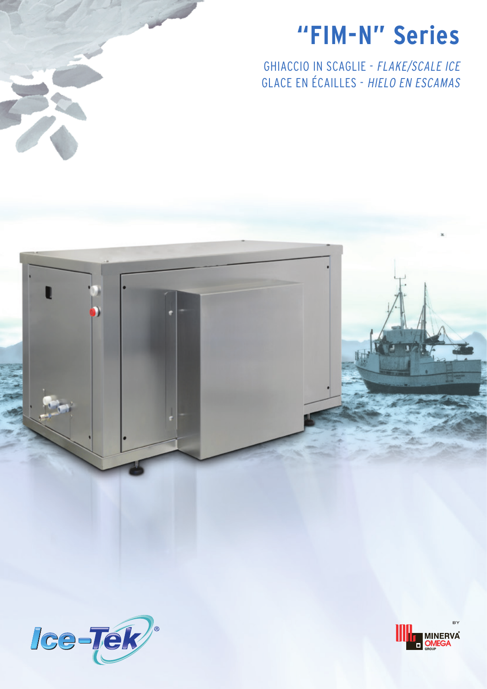# **"FIM-N" Series**

GHIACCIO IN SCAGLIE - FLAKE/SCALE ICE GLACE EN ÉCAILLES - HIELO EN ESCAMAS